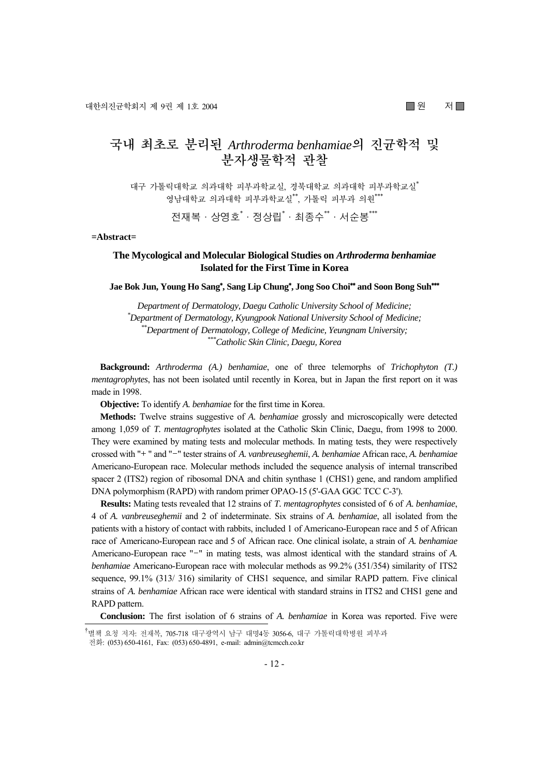# **국내 최초로 분리된** *Arthroderma benhamiae***의 진균학적 및 분자생물학적 관찰**

대구 가톨릭대학교 의과대학 피부과학교실, 경북대학교 의과대학 피부과학교실\* 영남대학교 의과대학 피부과학교실\*\*, 가톨릭 피부과 의원\*\*\*

전재복 · 상영호<sup>\*</sup> · 정상립<sup>\*</sup> · 최종수<sup>\*\*</sup> · 서순봉\*\*\*

**=Abstract=** 

## **The Mycological and Molecular Biological Studies on** *Arthroderma benhamiae*  **Isolated for the First Time in Korea**

**Jae Bok Jun, Young Ho Sang**\* **, Sang Lip Chung**\* **, Jong Soo Choi**\*\* **and Soon Bong Suh**\*\*\*

*Department of Dermatology, Daegu Catholic University School of Medicine; \* Department of Dermatology, Kyungpook National University School of Medicine; \*\*Department of Dermatology, College of Medicine, Yeungnam University; \*\*\*Catholic Skin Clinic, Daegu, Korea* 

**Background:** *Arthroderma (A.) benhamiae*, one of three telemorphs of *Trichophyton (T.) mentagrophytes*, has not been isolated until recently in Korea, but in Japan the first report on it was made in 1998.

**Objective:** To identify *A. benhamiae* for the first time in Korea.

**Methods:** Twelve strains suggestive of *A. benhamiae* grossly and microscopically were detected among 1,059 of *T. mentagrophytes* isolated at the Catholic Skin Clinic, Daegu, from 1998 to 2000. They were examined by mating tests and molecular methods. In mating tests, they were respectively crossed with "+" and "-" tester strains of *A. vanbreuseghemii*, *A. benhamiae* African race, *A. benhamiae*  Americano-European race. Molecular methods included the sequence analysis of internal transcribed spacer 2 (ITS2) region of ribosomal DNA and chitin synthase 1 (CHS1) gene, and random amplified DNA polymorphism (RAPD) with random primer OPAO-15 (5'-GAA GGC TCC C-3').

**Results:** Mating tests revealed that 12 strains of *T. mentagrophytes* consisted of 6 of *A. benhamiae*, 4 of *A. vanbreuseghemii* and 2 of indeterminate. Six strains of *A. benhamiae*, all isolated from the patients with a history of contact with rabbits, included 1 of Americano-European race and 5 of African race of Americano-European race and 5 of African race. One clinical isolate, a strain of *A. benhamiae* Americano-European race "-" in mating tests, was almost identical with the standard strains of *A*. *benhamiae* Americano-European race with molecular methods as 99.2% (351/354) similarity of ITS2 sequence, 99.1% (313/ 316) similarity of CHS1 sequence, and similar RAPD pattern. Five clinical strains of *A. benhamiae* African race were identical with standard strains in ITS2 and CHS1 gene and RAPD pattern.

**Conclusion:** The first isolation of 6 strains of *A. benhamiae* in Korea was reported. Five were

<sup>&</sup>lt;u>,</u><br>"별책 요청 저자: 전재복, 705-718 대구광역시 남구 대명4동 3056-6, 대구 가톨릭대학병원 피부과 전화: (053) 650-4161, Fax: (053) 650-4891, e-mail: admin@tcmcch.co.kr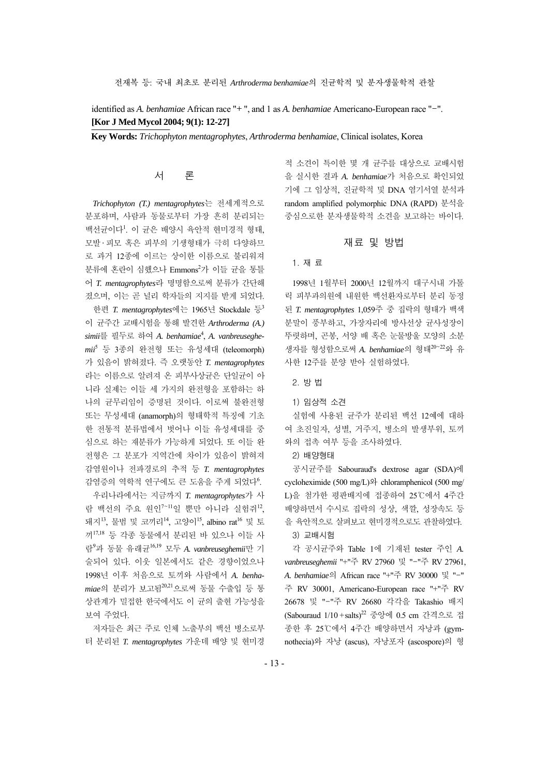identified as *A. benhamiae* African race "+", and 1 as *A. benhamiae* Americano-European race "-". **[Kor J Med Mycol 2004; 9(1): 12-27]** 

**Key Words:** *Trichophyton mentagrophytes*, *Arthroderma benhamiae*, Clinical isolates, Korea

# 서 론

*Trichophyton (T.) mentagrophytes*는 전세계적으로 분포하며, 사람과 동물로부터 가장 흔히 분리되는 백선균이다<sup>1</sup> . 이 균은 배양시 육안적 현미경적 형태, 모발· 피모 혹은 피부의 기생형태가 극히 다양하므 로 과거 12종에 이르는 상이한 이름으로 불리워져 분류에 혼란이 심했으나 Emmons<sup>2</sup>가 이들 균을 통틀 어 *T. mentagrophytes*라 명명함으로써 분류가 간단해 졌으며, 이는 곧 널리 학자들의 지지를 받게 되었다. 한편 *T. mentagrophytes*에는 1965년 Stockdale 등<sup>3</sup> 이 균주간 교배시험을 통해 발견한 *Arthroderma (A.) simii*를 필두로 하여 *A. benhamiae*<sup>4</sup> , *A. vanbreuseghemii*<sup>5</sup> 등 3종의 완전형 또는 유성세대 (teleomorph) 가 있음이 밝혀졌다. 즉 오랫동안 *T. mentagrophytes* 라는 이름으로 알려져 온 피부사상균은 단일균이 아 니라 실제는 이들 세 가지의 완전형을 포함하는 하 나의 균무리임이 증명된 것이다. 이로써 불완전형 또는 무성세대 (anamorph)의 형태학적 특징에 기초 한 전통적 분류법에서 벗어나 이들 유성세대를 중 심으로 하는 재분류가 가능하게 되었다. 또 이들 완 전형은 그 분포가 지역간에 차이가 있음이 밝혀져 감염원이나 전파경로의 추적 등 *T. mentagrophytes* 감염증의 역학적 연구에도 큰 도움을 주게 되었다<sup>6</sup>.

우리나라에서는 지금까지 *T. mentagrophytes*가 사 람 백선의 주요 원인 $^{7-11}$ 일 뿐만 아니라 실험쥐 $^{12}$ 돼지<sup>13</sup>, 물범 및 코끼리<sup>14</sup>, 고양이<sup>15</sup>, albino rat<sup>16</sup> 및 토 끼17,18 등 각종 동물에서 분리된 바 있으나 이들 사 람<sup>9</sup> 과 동물 유래균16,19 모두 *A. vanbreuseghemii*만 기 술되어 있다. 이웃 일본에서도 같은 경향이었으나 1998년 이후 처음으로 토끼와 사람에서 *A. benha*miae의 분리가 보고됨<sup>20,21</sup>으로써 동물 수출입 등 통 상관계가 밀접한 한국에서도 이 균의 출현 가능성을 보여 주었다.

저자들은 최근 주로 인체 노출부의 백선 병소로부 터 분리된 *T. mentagrophytes* 가운데 배양 및 현미경

적 소견이 특이한 몇 개 균주를 대상으로 교배시험 을 실시한 결과 *A. benhamiae*가 처음으로 확인되었 기에 그 임상적, 진균학적 및 DNA 염기서열 분석과 random amplified polymorphic DNA (RAPD) 분석을 중심으로한 분자생물학적 소견을 보고하는 바이다.

# 재료 및 방법

#### 1. 재 료

1998년 1월부터 2000년 12월까지 대구시내 가톨 릭 피부과의원에 내원한 백선환자로부터 분리 동정 된 *T. mentagrophytes* 1,059주 중 집락의 형태가 백색 분말이 풍부하고, 가장자리에 방사선상 균사성장이 뚜렷하며, 곤봉, 서양 배 혹은 눈물방울 모양의 소분 생자를 형성함으로써 *A. benhamiae*의 형태<sup>20</sup>~<sup>22</sup>와 유 사한 12주를 분양 받아 실험하였다.

2. 방 법

1) 임상적 소견

실험에 사용된 균주가 분리된 백선 12예에 대하 여 초진일자, 성별, 거주지, 병소의 발생부위, 토끼 와의 접촉 여부 등을 조사하였다.

2) 배양형태

공시균주를 Sabouraud's dextrose agar (SDA)에 cycloheximide (500 mg/L)와 chloramphenicol (500 mg/ L)을 첨가한 평판배지에 접종하여 25℃에서 4주간 배양하면서 수시로 집락의 성상, 색깔, 성장속도 등 을 육안적으로 살펴보고 현미경적으로도 관찰하였다.

3) 교배시험

각 공시균주와 Table 1에 기재된 tester 주인 *A. vanbreuseghemii* "+"주 RV 27960 및 "-"주 RV 27961, *A. benhamiae*의 African race "+"주 RV 30000 및 "-" 주 RV 30001, Americano-European race "+"주 RV 26678 및 "-"주 RV 26680 각각을 Takashio 배지 (Sabouraud 1/10 +salts)22 중앙에 0.5 cm 간격으로 접 종한 후 25℃에서 4주간 배양하면서 자낭과 (gymnothecia)와 자낭 (ascus), 자낭포자 (ascospore)의 형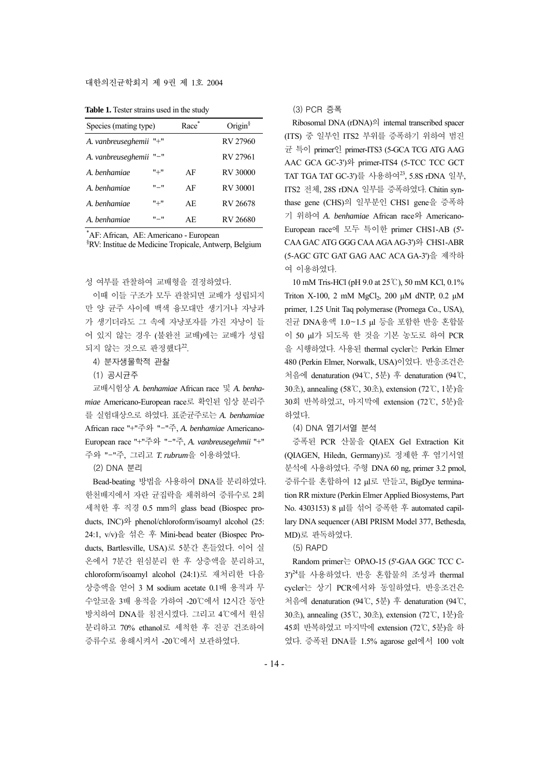#### 대한의진균학회지 제 9권 제 1호 2004

| Table 1. Tester strains used in the study |  |  |  |  |  |  |
|-------------------------------------------|--|--|--|--|--|--|
|-------------------------------------------|--|--|--|--|--|--|

| Species (mating type)  | Race      | Origin $\frac{1}{2}$ |          |
|------------------------|-----------|----------------------|----------|
| A. vanbreuseghemii "+" |           |                      | RV 27960 |
| A. vanbreuseghemii     | "-"       |                      | RV 27961 |
| A henhamiae            | $" +"$    | AF                   | RV 30000 |
| A. benhamiae           | $"$ – $"$ | ΑF                   | RV 30001 |
| A henhamiae            | "+"       | AE.                  | RV 26678 |
| A. benhamiae           | $"$ – $"$ | AE.                  | RV 26680 |

\* AF: African, AE: Americano - European

§ RV: Institue de Medicine Tropicale, Antwerp, Belgium

성 여부를 관찰하여 교배형을 결정하였다.

이때 이들 구조가 모두 관찰되면 교배가 성립되지 만 양 균주 사이에 백색 융모대만 생기거나 자낭과 가 생기더라도 그 속에 자낭포자를 가진 자낭이 들 어 있지 않는 경우 (불완전 교배)에는 교배가 성립 되지 않는 것으로 판정했다<sup>22</sup>.

- 4) 분자생물학적 관찰
- (1) 공시균주

교배시험상 *A. benhamiae* African race 및 *A. benhamiae* Americano-European race로 확인된 임상 분리주 를 실험대상으로 하였다. 표준균주로는 *A. benhamiae* African race "+"주와 "-"주, *A. benhamiae* Americano-European race "+"주와 "-"주, *A. vanbreusegehmii* "+" 주와 "-"주, 그리고 *T. rubrum*을 이용하였다.

(2) DNA 분리

Bead-beating 방법을 사용하여 DNA를 분리하였다. 한천배지에서 자란 균집락을 채취하여 증류수로 2회 세척한 후 직경 0.5 mm의 glass bead (Biospec products, INC)와 phenol/chloroform/isoamyl alcohol (25: 24:1, v/v)을 섞은 후 Mini-bead beater (Biospec Products, Bartlesville, USA)로 5분간 흔들었다. 이어 실 온에서 7분간 원심분리 한 후 상층액을 분리하고, chloroform/isoamyl alcohol (24:1)로 재처리한 다음 상층액을 얻어 3 M sodium acetate 0.1배 용적과 무 수알코올 3배 용적을 가하여 -20℃에서 12시간 동안 방치하여 DNA를 침전시켰다. 그리고 4℃에서 원심 분리하고 70% ethanol로 세척한 후 진공 건조하여 증류수로 용해시켜서 -20℃에서 보관하였다.

## (3) PCR 증폭

Ribosomal DNA (rDNA)의 internal transcribed spacer (ITS) 중 일부인 ITS2 부위를 증폭하기 위하여 범진 균 특이 primer인 primer-ITS3 (5-GCA TCG ATG AAG AAC GCA GC-3')와 primer-ITS4 (5-TCC TCC GCT TAT TGA TAT GC-3')를 사용하여23, 5.8S rDNA 일부, ITS2 전체, 28S rDNA 일부를 증폭하였다. Chitin synthase gene (CHS)의 일부분인 CHS1 gene을 증폭하 기 위하여 *A. benhamiae* African race와 Americano-European race에 모두 특이한 primer CHS1-AB (5'- CAA GAC ATG GGG CAA AGA AG-3')와 CHS1-ABR (5-AGC GTC GAT GAG AAC ACA GA-3')을 제작하 여 이용하였다.

10 mM Tris-HCl (pH 9.0 at 25℃), 50 mM KCl, 0.1% Triton X-100, 2 mM  $MgCl<sub>2</sub>$ , 200 μM dNTP, 0.2 μM primer, 1.25 Unit Taq polymerase (Promega Co., USA), 진균 DNA용액 1.0~1.5 μl 등을 포함한 반응 혼합물 이 50 μl가 되도록 한 것을 기본 농도로 하여 PCR 을 시행하였다. 사용된 thermal cycler는 Perkin Elmer 480 (Perkin Elmer, Norwalk, USA)이었다. 반응조건은 처음에 denaturation (94℃, 5분) 후 denaturation (94℃, 30초), annealing (58℃, 30초), extension (72℃, 1분)을 30회 반복하였고, 마지막에 extension (72℃, 5분)을 하였다.

(4) DNA 염기서열 분석

증폭된 PCR 산물을 QIAEX Gel Extraction Kit (QIAGEN, Hiledn, Germany)로 정제한 후 염기서열 분석에 사용하였다. 주형 DNA 60 ng, primer 3.2 pmol, 증류수를 혼합하여 12 μl로 만들고, BigDye termination RR mixture (Perkin Elmer Applied Biosystems, Part No. 4303153) 8 μl를 섞어 증폭한 후 automated capillary DNA sequencer (ABI PRISM Model 377, Bethesda, MD)로 판독하였다.

(5) RAPD

Random primer는 OPAO-15 (5'-GAA GGC TCC C-3')<sup>24</sup>를 사용하였다. 반응 혼합물의 조성과 thermal cycler는 상기 PCR에서와 동일하였다. 반응조건은 처음에 denaturation (94℃, 5분) 후 denaturation (94℃, 30초), annealing (35℃, 30초), extension (72℃, 1분)을 45회 반복하였고 마지막에 extension (72℃, 5분)을 하 였다. 증폭된 DNA를 1.5% agarose gel에서 100 volt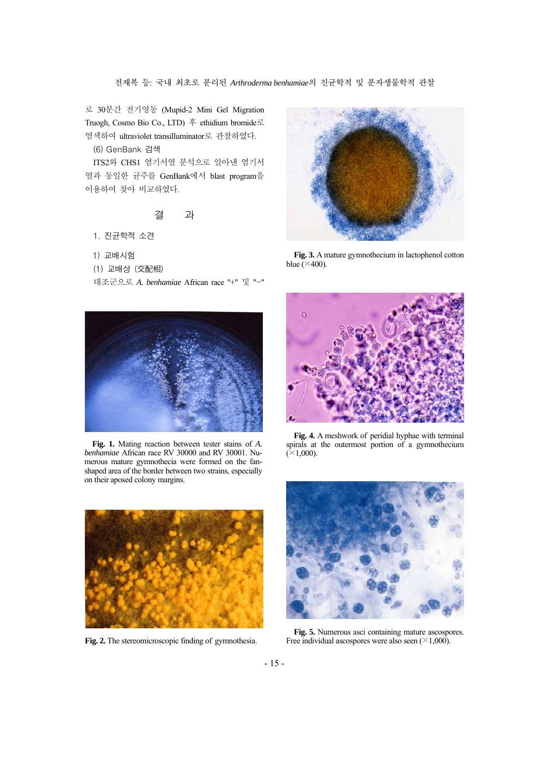로 30분간 전기영동 (Mupid-2 Mini Gel Migration Truogh, Cosmo Bio Co., LTD) 후 ethidium bromide로 염색하여 ultraviolet transilluminator로 관찰하였다.

(6) GenBank 검색

ITS2와 CHS1 염기서열 분석으로 알아낸 염기서 열과 동일한 균주를 GenBank에서 blast program을 이용하여 찾아 비교하였다.

## 결 과

- 1. 진균학적 소견
- 1) 교배시험
- (1) 교배상 (交配相)

대조군으로 *A. benhamiae* African race "+" 및 "-"



**Fig. 1.** Mating reaction between tester stains of *A. benhamiae* African race RV 30000 and RV 30001. Numerous mature gymnothecia were formed on the fanshaped area of the border between two strains, especially on their aposed colony margins.



**Fig. 2.** The stereomicroscopic finding of gymnothesia.



**Fig. 3.** A mature gymnothecium in lactophenol cotton blue  $(X400)$ .



**Fig. 4.** A meshwork of peridial hyphae with terminal spirals at the outermost portion of a gymnothecium  $(\times1,000)$ .



**Fig. 5.** Numerous asci containing mature ascospores. Free individual ascospores were also seen  $(\times 1,000)$ .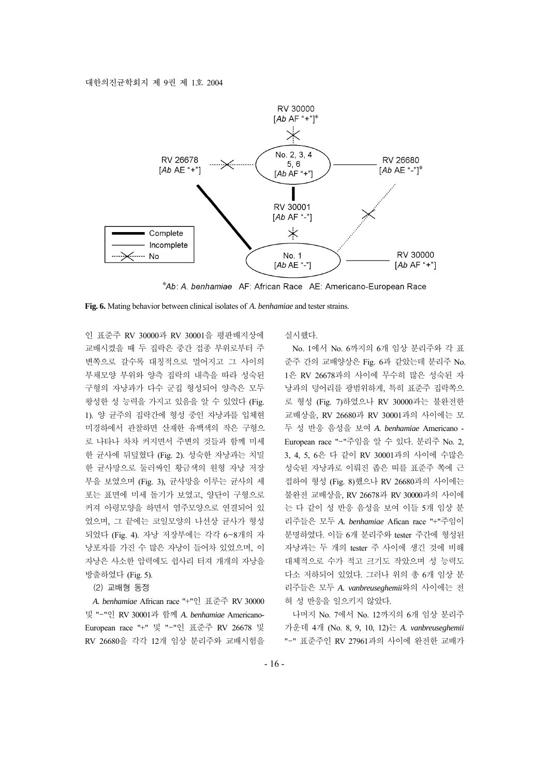

\*Ab: A. benhamiae AF: African Race AE: Americano-European Race

**Fig. 6.** Mating behavior between clinical isolates of *A. benhamiae* and tester strains.

인 표준주 RV 30000과 RV 30001을 평판배지상에 교배시켰을 때 두 집락은 중간 접종 부위로부터 주 변쪽으로 갈수록 대칭적으로 멀어지고 그 사이의 부채모양 부위와 양측 집락의 내측을 따라 성숙된 구형의 자낭과가 다수 군집 형성되어 양측은 모두 왕성한 성 능력을 가지고 있음을 알 수 있었다 (Fig. 1). 양 균주의 집락간에 형성 중인 자낭과를 입체현 미경하에서 관찰하면 산재한 유백색의 작은 구형으 로 나타나 차차 커지면서 주변의 것들과 함께 미세 한 균사에 뒤덮혔다 (Fig. 2). 성숙한 자낭과는 치밀 한 균사망으로 둘러싸인 황금색의 원형 자낭 저장 부을 보였으며 (Fig. 3), 균사망을 이루는 균사의 세 포는 표면에 미세 돌기가 보였고, 양단이 구형으로 커져 아령모양을 하면서 염주모양으로 연결되어 있 었으며, 그 끝에는 코일모양의 나선상 균사가 형성 되었다 (Fig. 4). 자낭 저장부에는 각각 6~8개의 자 낭포자를 가진 수 많은 자낭이 들어차 있었으며, 이 자낭은 사소한 압력에도 쉽사리 터져 개개의 자낭을 방출하였다 (Fig. 5).

(2) 교배형 동정

*A. benhamiae* African race "+"인 표준주 RV 30000 및 "-"인 RV 30001과 함께 *A. benhamiae* Americano-European race "+" 및 "-"인 표준주 RV 26678 및 RV 26680을 각각 12개 임상 분리주와 교배시험을

실시했다.

No. 1에서 No. 6까지의 6개 임상 분리주와 각 표 준주 간의 교배양상은 Fig. 6과 같았는데 분리주 No. 1은 RV 26678과의 사이에 무수히 많은 성숙된 자 낭과의 덩어리를 광범위하게, 특히 표준주 집락쪽으 로 형성 (Fig. 7)하였으나 RV 30000과는 불완전한 교배상을, RV 26680과 RV 30001과의 사이에는 모 두 성 반응 음성을 보여 *A. benhamiae* Americano - European race "-"주임을 알 수 있다. 분리주 No. 2, 3, 4, 5, 6은 다 같이 RV 30001과의 사이에 수많은 성숙된 자낭과로 이뤄진 좁은 띠를 표준주 쪽에 근 접하여 형성 (Fig. 8)했으나 RV 26680과의 사이에는 불완전 교배상을, RV 26678과 RV 30000과의 사이에 는 다 같이 성 반응 음성을 보여 이들 5개 임상 분 리주들은 모두 *A. benhamiae* Afican race "+"주임이 분명하였다. 이들 6개 분리주와 tester 주간에 형성된 자낭과는 두 개의 tester 주 사이에 생긴 것에 비해 대체적으로 수가 적고 크기도 작았으며 성 능력도 다소 저하되어 있었다. 그러나 위의 총 6개 임상 분 리주들은 모두 *A. vanbreuseghemii*와의 사이에는 전 혀 성 반응을 일으키지 않았다.

나머지 No. 7에서 No. 12까지의 6개 임상 분리주 가운데 4개 (No. 8, 9, 10, 12)는 *A. vanbreuseghemii* "-" 표준주인 RV 27961과의 사이에 완전한 교배가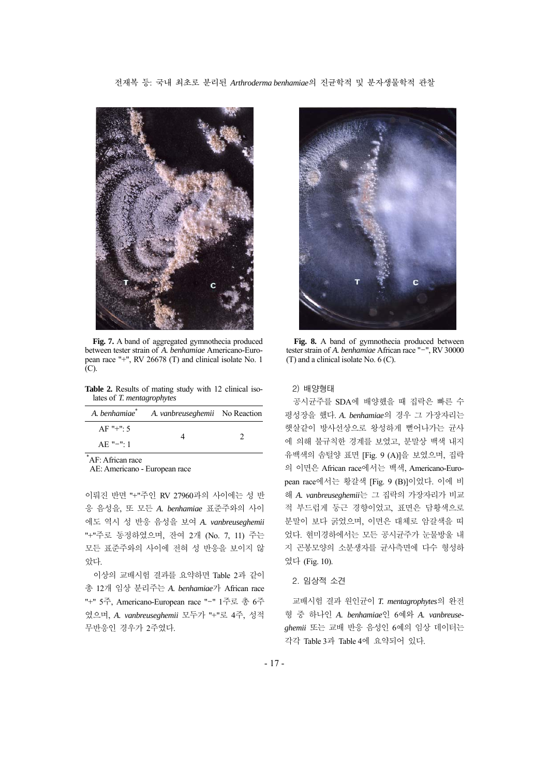#### 전재복 등: 국내 최초로 분리된 *Arthroderma benhamiae*의 진균학적 및 분자생물학적 관찰



**Fig. 7.** A band of aggregated gymnothecia produced between tester strain of *A. benhamiae* Americano-European race "+", RV 26678 (T) and clinical isolate No. 1 (C).

**Table 2.** Results of mating study with 12 clinical isolates of *T. mentagrophytes*

| A. benhamiae <sup>*</sup> | A. vanbreuseghemii No Reaction |  |
|---------------------------|--------------------------------|--|
| $AF "+" 5$                |                                |  |
| $AE "=" 1$                |                                |  |

\* AF: African race

AE: Americano - European race

이뤄진 반면 "+"주인 RV 27960과의 사이에는 성 반 응 음성을, 또 모든 *A. benhamiae* 표준주와의 사이 에도 역시 성 반응 음성을 보여 *A. vanbreuseghemii* "+"주로 동정하였으며, 잔여 2개 (No. 7, 11) 주는 모든 표준주와의 사이에 전혀 성 반응을 보이지 않 았다.

이상의 교배시험 결과를 요약하면 Table 2과 같이 총 12개 임상 분리주는 *A. benhamiae*가 African race "+" 5주, Americano-European race "-" 1주로 총 6주 였으며, *A. vanbreuseghemii* 모두가 "+"로 4주, 성적 무반응인 경우가 2주였다.



**Fig. 8.** A band of gymnothecia produced between tester strain of *A. benhamiae* African race "-", RV 30000 (T) and a clinical isolate No. 6 (C).

## 2) 배양형태

공시균주를 SDA에 배양했을 때 집락은 빠른 수 평성장을 했다. *A. benhamiae*의 경우 그 가장자리는 햇살같이 방사선상으로 왕성하게 뻗어나가는 균사 에 의해 불규칙한 경계를 보였고, 분말상 백색 내지 유백색의 솜털양 표면 [Fig. 9 (A)]을 보였으며, 집락 의 이면은 African race에서는 백색, Americano-European race에서는 황갈색 [Fig. 9 (B)]이었다. 이에 비 해 *A. vanbreuseghemii*는 그 집락의 가장자리가 비교 적 부드럽게 둥근 경향이었고, 표면은 담황색으로 분말이 보다 굵었으며, 이면은 대체로 암갈색을 띠 었다. 현미경하에서는 모든 공시균주가 눈물방울 내 지 곤봉모양의 소분생자를 균사측면에 다수 형성하 였다 (Fig. 10).

### 2. 임상적 소견

교배시험 결과 원인균이 *T. mentagrophytes*의 완전 형 중 하나인 *A. benhamiae*인 6예와 *A. vanbreuseghemii* 또는 교배 반응 음성인 6예의 임상 데이터는 각각 Table 3과 Table 4에 요약되어 있다.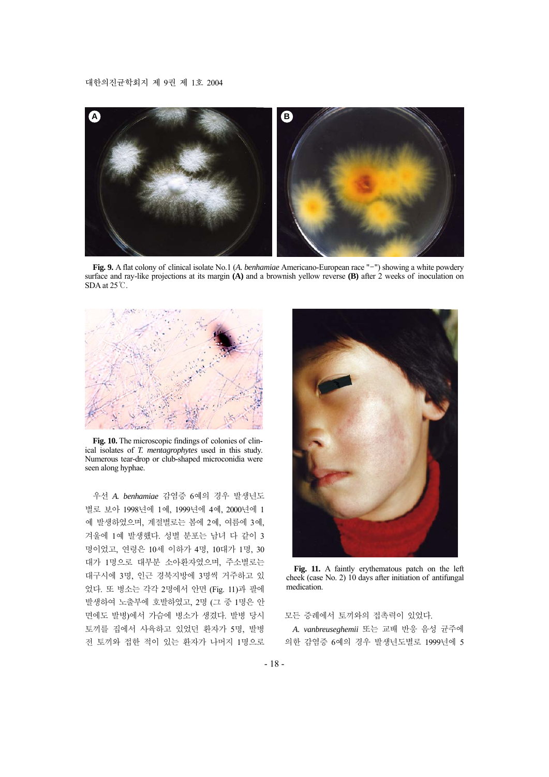

**Fig. 9.** A flat colony of clinical isolate No.1 (*A. benhamiae* Americano-European race "-") showing a white powdery surface and ray-like projections at its margin **(A)** and a brownish yellow reverse **(B)** after 2 weeks of inoculation on SDA at 25℃.



**Fig. 10.** The microscopic findings of colonies of clinical isolates of *T. mentagrophytes* used in this study. Numerous tear-drop or club-shaped microconidia were seen along hyphae.

우선 *A. benhamiae* 감염증 6예의 경우 발생년도 별로 보아 1998년에 1예, 1999년에 4예, 2000년에 1 예 발생하였으며, 계절별로는 봄에 2예, 여름에 3예, 겨울에 1예 발생했다. 성별 분포는 남녀 다 같이 3 명이었고, 연령은 10세 이하가 4명, 10대가 1명, 30 대가 1명으로 대부분 소아환자였으며, 주소별로는 대구시에 3명, 인근 경북지방에 3명씩 거주하고 있 었다. 또 병소는 각각 2명에서 안면 (Fig. 11)과 팔에 발생하여 노출부에 호발하였고, 2명 (그 중 1명은 안 면에도 발병)에서 가슴에 병소가 생겼다. 발병 당시 토끼를 집에서 사육하고 있었던 환자가 5명, 발병 전 토끼와 접한 적이 있는 환자가 나머지 1명으로



**Fig. 11.** A faintly erythematous patch on the left cheek (case No. 2) 10 days after initiation of antifungal medication.

모든 증례에서 토끼와의 접촉력이 있었다.

*A. vanbreuseghemii* 또는 교배 반응 음성 균주에 의한 감염증 6예의 경우 발생년도별로 1999년에 5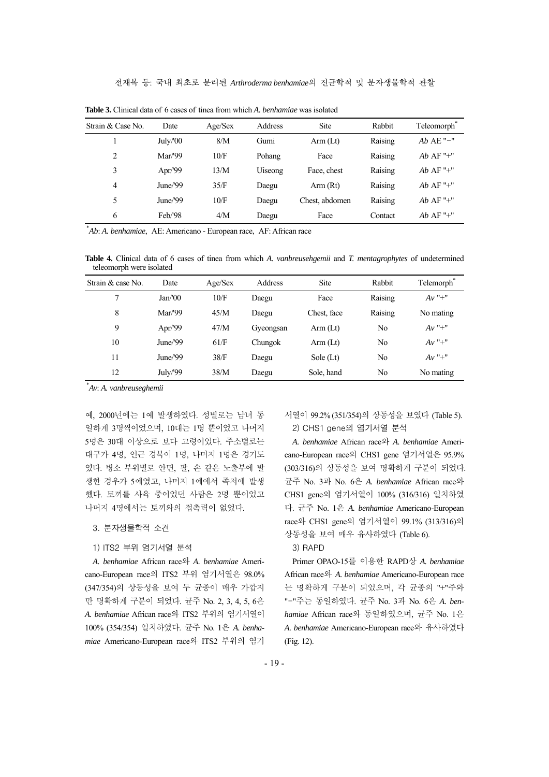| Strain & Case No. | Date     | Age/Sex | Address | Site           | Rabbit  | Teleomorph <sup>®</sup> |
|-------------------|----------|---------|---------|----------------|---------|-------------------------|
|                   | July/'00 | 8/M     | Gumi    | Arm (Lt)       | Raising | $Ab$ AE "-"             |
| 2                 | Mar/99   | 10/F    | Pohang  | Face           | Raising | $Ab$ AF "+"             |
| 3                 | Apr/'99  | 13/M    | Uiseong | Face, chest    | Raising | $Ab$ AF "+"             |
| $\overline{4}$    | June/'99 | 35/F    | Daegu   | Arm(Rt)        | Raising | $Ab$ AF "+"             |
| 5                 | June/'99 | 10/F    | Daegu   | Chest, abdomen | Raising | $Ab$ AF "+"             |
| 6                 | Feb/'98  | 4/M     | Daegu   | Face           | Contact | $Ab$ AF "+"             |

**Table 3.** Clinical data of 6 cases of tinea from which *A. benhamiae* was isolated

\* *Ab*: *A. benhamiae*, AE: Americano - European race, AF: African race

**Table 4.** Clinical data of 6 cases of tinea from which *A. vanbreusehgemii* and *T. mentagrophytes* of undetermined teleomorph were isolated

| Strain & case No. | Date     | Age/Sex | Address   | <b>Site</b> | Rabbit  | Telemorph <sup>*</sup> |
|-------------------|----------|---------|-----------|-------------|---------|------------------------|
| 7                 | Jan/00   | 10/F    | Daegu     | Face        | Raising | $Av$ "+"               |
| 8                 | Mar/'99  | 45/M    | Daegu     | Chest, face | Raising | No mating              |
| 9                 | Apr/'99  | 47/M    | Gyeongsan | Arm (Lt)    | No      | $Av$ "+"               |
| 10                | June/'99 | 61/F    | Chungok   | Arm(Lt)     | No      | $Av$ "+"               |
| 11                | June/'99 | 38/F    | Daegu     | Sole $(Lt)$ | No      | $Av$ "+"               |
| 12                | July/'99 | 38/M    | Daegu     | Sole, hand  | No      | No mating              |

\* *Av*: *A. vanbreuseghemii*

예, 2000년에는 1예 발생하였다. 성별로는 남녀 동 일하게 3명씩이었으며, 10대는 1명 뿐이었고 나머지 5명은 30대 이상으로 보다 고령이었다. 주소별로는 대구가 4명, 인근 경북이 1명, 나머지 1명은 경기도 였다. 병소 부위별로 안면, 팔, 손 같은 노출부에 발 생한 경우가 5예였고, 나머지 1예에서 족저에 발생 했다. 토끼를 사육 중이었던 사람은 2명 뿐이었고 나머지 4명에서는 토끼와의 접촉력이 없었다.

3. 분자생물학적 소견

# 1) ITS2 부위 염기서열 분석

*A. benhamiae* African race와 *A. benhamiae* Americano-European race의 ITS2 부위 염기서열은 98.0% (347/354)의 상동성을 보여 두 균종이 매우 가깝지 만 명확하게 구분이 되었다. 균주 No. 2, 3, 4, 5, 6은 *A. benhamiae* African race와 ITS2 부위의 염기서열이 100% (354/354) 일치하였다. 균주 No. 1은 *A. benhamiae* Americano-European race와 ITS2 부위의 염기 서열이 99.2% (351/354)의 상동성을 보였다 (Table 5). 2) CHS1 gene의 염기서열 분석

*A. benhamiae* African race와 *A. benhamiae* Americano-European race의 CHS1 gene 염기서열은 95.9% (303/316)의 상동성을 보여 명확하게 구분이 되었다. 균주 No. 3과 No. 6은 *A. benhamiae* African race와 CHS1 gene의 염기서열이 100% (316/316) 일치하였 다. 균주 No. 1은 *A. benhamiae* Americano-European race와 CHS1 gene의 염기서열이 99.1% (313/316)의 상동성을 보여 매우 유사하였다 (Table 6).

# 3) RAPD

Primer OPAO-15를 이용한 RAPD상 *A. benhamiae* African race와 *A. benhamiae* Americano-European race 는 명확하게 구분이 되었으며, 각 균종의 "+"주와 "-"주는 동일하였다. 균주 No. 3과 No. 6은 *A. benhamiae* African race와 동일하였으며, 균주 No. 1은 *A. benhamiae* Americano-European race와 유사하였다 (Fig. 12).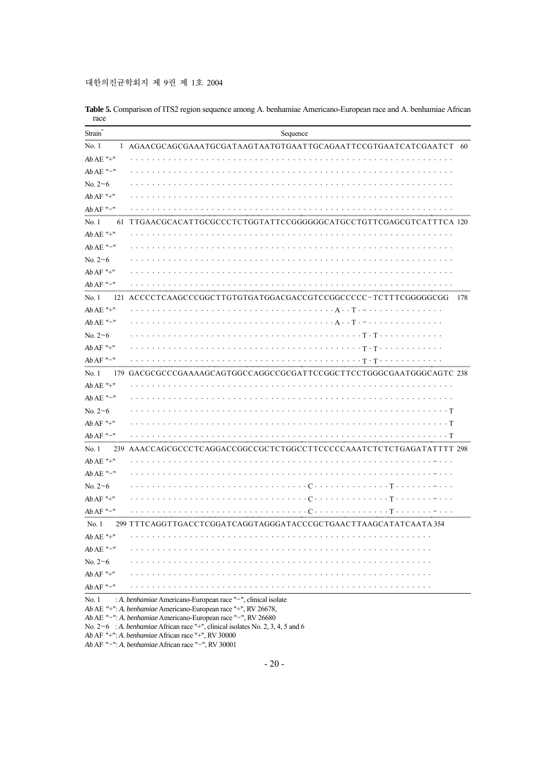대한의진균학회지 제 9권 제 1호 2004

| Strain*               | Sequence                                                                                                                                                                                        |
|-----------------------|-------------------------------------------------------------------------------------------------------------------------------------------------------------------------------------------------|
| No.1                  | 1 AGAACGCAGCGAAATGCGATAAGTAATGTGAATTGCAGAATTCCGTGAATCATCGAATCT 60                                                                                                                               |
| $AbAE$ "+"            | .                                                                                                                                                                                               |
| $AbAE$ "-"            |                                                                                                                                                                                                 |
| No. $2 \sim 6$        |                                                                                                                                                                                                 |
| $AbAF$ "+"            |                                                                                                                                                                                                 |
| $AbAF$ "-"            |                                                                                                                                                                                                 |
| No.1<br>61            | TTGAACGCACATTGCGCCCTCTGGTATTCCGGGGGGCATGCCTGTTCGAGCGTCATTTCA 120                                                                                                                                |
| $AbAE$ "+"            |                                                                                                                                                                                                 |
| $AbAE$ "-"            |                                                                                                                                                                                                 |
| $No. 2 - 6$           |                                                                                                                                                                                                 |
| $Ab$ AF "+"           |                                                                                                                                                                                                 |
| $AbAF$ "-"            |                                                                                                                                                                                                 |
| No.1                  | 121 ACCCCTCAAGCCCGGCTTGTGTGATGGACGACCGTCCGGCCCCC-TCTTTCGGGGGCGG<br>178                                                                                                                          |
| $AbAE$ "+"            |                                                                                                                                                                                                 |
| $AbAE$ "-"            |                                                                                                                                                                                                 |
| No. $2 \sim 6$        |                                                                                                                                                                                                 |
| $AbAF$ "+"            |                                                                                                                                                                                                 |
| $AbAF$ "-"            |                                                                                                                                                                                                 |
| No.1                  | 179 GACGCGCCCGAAAAGCAGTGGCCAGGCCGCGATTCCGGCTTCCTGGGCGAATGGGCAGTC 238                                                                                                                            |
| $AbAE$ "+"            |                                                                                                                                                                                                 |
| $AbAE$ "-"            | .                                                                                                                                                                                               |
| No. $2 \sim 6$        |                                                                                                                                                                                                 |
| $Ab$ AF "+"           |                                                                                                                                                                                                 |
| $AbAF$ "-"            |                                                                                                                                                                                                 |
| No.1<br>239           | AAACCAGCGCCCTCAGGACCGGCCGCTCTGGCCTTCCCCCAAATCTCTCTGAGATATTTT 298                                                                                                                                |
| $AbAE$ "+"            |                                                                                                                                                                                                 |
| $AbAE$ "-"            |                                                                                                                                                                                                 |
| No. $2 \sim 6$        |                                                                                                                                                                                                 |
| $Ab$ AF "+"           |                                                                                                                                                                                                 |
| $AbAF$ "-"            |                                                                                                                                                                                                 |
| No.1                  | 299 TTTCAGGTTGACCTCGGATCAGGTAGGGATACCCGCTGAACTTAAGCATATCAATA 354                                                                                                                                |
| $Ab\,\mathrm{AE}$ "+" |                                                                                                                                                                                                 |
| $Ab\,\mathrm{AE}$ "–" |                                                                                                                                                                                                 |
| No. $2 \sim 6$        |                                                                                                                                                                                                 |
| $Ab$ AF "+"           |                                                                                                                                                                                                 |
| $Ab\,\mathrm{AF}$ "–" |                                                                                                                                                                                                 |
| No. 1                 | : A. benhamiae Americano-European race "-", clinical isolate<br>Ab AE "+": A. benhamiae Americano-European race "+", RV 26678,<br>Ab AE "-": A. benhamiae Americano-European race "-", RV 26680 |

**Table 5.** Comparison of ITS2 region sequence among A. benhamiae Americano-European race and A. benhamiae African race

No. 2~6 : *A. benhamiae* African race "+", clinical isolates No. 2, 3, 4, 5 and 6

*Ab* AF "+": *A. benhamiae* African race "+", RV 30000

*Ab* AF "-": *A. benhamiae* African race "-", RV 30001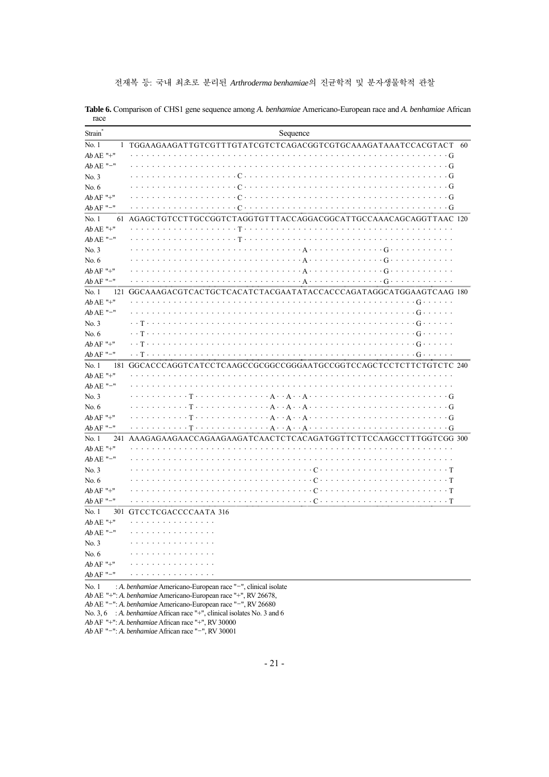전재복 등: 국내 최초로 분리된 *Arthroderma benhamiae*의 진균학적 및 분자생물학적 관찰

| Strain <sup>®</sup> | Sequence                                                                                                                                                                                                                                                                                                                                                                                                                                                                                                |  |
|---------------------|---------------------------------------------------------------------------------------------------------------------------------------------------------------------------------------------------------------------------------------------------------------------------------------------------------------------------------------------------------------------------------------------------------------------------------------------------------------------------------------------------------|--|
| No.1                | 1 TGGAAGAAGATTGTCGTTTGTATCGTCTCAGACGGTCGTGCAAAGATAAATCCACGTACT 60                                                                                                                                                                                                                                                                                                                                                                                                                                       |  |
| $AbAE$ "+"          | $\cdots \cdots G$                                                                                                                                                                                                                                                                                                                                                                                                                                                                                       |  |
| $AbAE$ "-"          | . G                                                                                                                                                                                                                                                                                                                                                                                                                                                                                                     |  |
| No. 3               |                                                                                                                                                                                                                                                                                                                                                                                                                                                                                                         |  |
| No. 6               |                                                                                                                                                                                                                                                                                                                                                                                                                                                                                                         |  |
| $AbAF$ "+"          |                                                                                                                                                                                                                                                                                                                                                                                                                                                                                                         |  |
| $AbAF$ "-"          |                                                                                                                                                                                                                                                                                                                                                                                                                                                                                                         |  |
| No.1<br>61          | AGAGCTGTCCTTGCCGGTCTAGGTGTTTACCAGGACGGCATTGCCAAACAGCAGGTTAAC 120                                                                                                                                                                                                                                                                                                                                                                                                                                        |  |
| $AbAE$ "+"          |                                                                                                                                                                                                                                                                                                                                                                                                                                                                                                         |  |
| $AbAE$ "-"          |                                                                                                                                                                                                                                                                                                                                                                                                                                                                                                         |  |
| No.3                |                                                                                                                                                                                                                                                                                                                                                                                                                                                                                                         |  |
| No. 6               |                                                                                                                                                                                                                                                                                                                                                                                                                                                                                                         |  |
| $Ab$ AF "+"         |                                                                                                                                                                                                                                                                                                                                                                                                                                                                                                         |  |
| $AbAF$ "-"          |                                                                                                                                                                                                                                                                                                                                                                                                                                                                                                         |  |
| No.1<br>121         | GGCAAAGACGTCACTGCTCACATCTACGAATATACCACCCAGATAGGCATGGAAGTCAAG 180                                                                                                                                                                                                                                                                                                                                                                                                                                        |  |
| $AbAE$ "+"          |                                                                                                                                                                                                                                                                                                                                                                                                                                                                                                         |  |
| $AbAE$ "-"          |                                                                                                                                                                                                                                                                                                                                                                                                                                                                                                         |  |
| No. 3               |                                                                                                                                                                                                                                                                                                                                                                                                                                                                                                         |  |
| No. 6               |                                                                                                                                                                                                                                                                                                                                                                                                                                                                                                         |  |
| $Ab$ AF "+"         | $\mathcal{L}^{(1)}\left(\mathcal{L}^{(1)}\left(\mathcal{L}^{(1)}\left(\mathcal{L}^{(1)}\left(\mathcal{L}^{(1)}\left(\mathcal{L}^{(1)}\left(\mathcal{L}^{(1)}\left(\mathcal{L}^{(1)}\left(\mathcal{L}^{(1)}\right)\right)\right)\right)\right)\right)\right)\right)\leq\mathcal{L}^{(1)}\left(\mathcal{L}^{(1)}\left(\mathcal{L}^{(1)}\left(\mathcal{L}^{(1)}\left(\mathcal{L}^{(1)}\left(\mathcal{L}^{(1)}\left(\mathcal{L}^{(1)}\left(\mathcal{L}^{(1)}\$<br>. . <del>T</del><br>$\cdots$ . $G \cdots$ |  |
| $Ab$ AF "-"         | . G                                                                                                                                                                                                                                                                                                                                                                                                                                                                                                     |  |
| No.1                | 181 GGCACCCAGGTCATCCTCAAGCCGCGGCCGGGAATGCCGGTCCAGCTCCTCTTCTGTCTC 240                                                                                                                                                                                                                                                                                                                                                                                                                                    |  |
| $AbAE$ "+"          |                                                                                                                                                                                                                                                                                                                                                                                                                                                                                                         |  |
| $AbAE$ "-"          |                                                                                                                                                                                                                                                                                                                                                                                                                                                                                                         |  |
| No.3                |                                                                                                                                                                                                                                                                                                                                                                                                                                                                                                         |  |
| No. 6               |                                                                                                                                                                                                                                                                                                                                                                                                                                                                                                         |  |
| $Ab$ AF "+"         | $\cdots$ G                                                                                                                                                                                                                                                                                                                                                                                                                                                                                              |  |
| $AbAF$ "-"          |                                                                                                                                                                                                                                                                                                                                                                                                                                                                                                         |  |
| No. 1               | 241 AAAGAGAAGAACCAGAAGAAGATCAACTCTCACAGATGGTTCTTCCAAGCCTTTGGTCGG 300                                                                                                                                                                                                                                                                                                                                                                                                                                    |  |
| $AbAE$ "+"          |                                                                                                                                                                                                                                                                                                                                                                                                                                                                                                         |  |
| $AbAE$ "-"          |                                                                                                                                                                                                                                                                                                                                                                                                                                                                                                         |  |
| No. 3               |                                                                                                                                                                                                                                                                                                                                                                                                                                                                                                         |  |
| No. 6               |                                                                                                                                                                                                                                                                                                                                                                                                                                                                                                         |  |
| $AbAF$ "+"          |                                                                                                                                                                                                                                                                                                                                                                                                                                                                                                         |  |
| $Ab$ AF "-"         |                                                                                                                                                                                                                                                                                                                                                                                                                                                                                                         |  |
| No.1                | 301 GTCCTCGACCCCAATA 316                                                                                                                                                                                                                                                                                                                                                                                                                                                                                |  |
| $AbAE$ "+"          | .                                                                                                                                                                                                                                                                                                                                                                                                                                                                                                       |  |
| $AbAE$ "-"          |                                                                                                                                                                                                                                                                                                                                                                                                                                                                                                         |  |
| No. 3               |                                                                                                                                                                                                                                                                                                                                                                                                                                                                                                         |  |
| No. 6               |                                                                                                                                                                                                                                                                                                                                                                                                                                                                                                         |  |
| $AbAF$ "+"          | .                                                                                                                                                                                                                                                                                                                                                                                                                                                                                                       |  |
| $AbAF$ "-"          | .                                                                                                                                                                                                                                                                                                                                                                                                                                                                                                       |  |
| No. 1               | : A. benhamiae Americano-European race "-", clinical isolate                                                                                                                                                                                                                                                                                                                                                                                                                                            |  |

**Table 6.** Comparison of CHS1 gene sequence among *A. benhamiae* Americano-European race and *A. benhamiae* African race

*Ab* AE "+": *A. benhamiae* Americano-European race "+", RV 26678,

*Ab* AE "-": *A. benhamiae* Americano-European race "-", RV 26680

No. 3, 6 : *A. benhamiae* African race "+", clinical isolates No. 3 and 6

*Ab* AF "+": *A. benhamiae* African race "+", RV 30000

*Ab* AF "-": *A. benhamiae* African race "-", RV 30001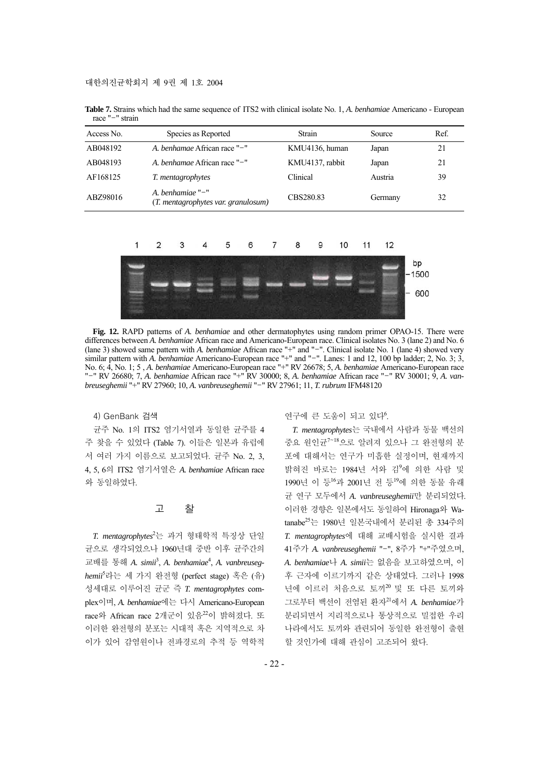| Access No. | Species as Reported                                        | Strain          | Source  | Ref. |
|------------|------------------------------------------------------------|-----------------|---------|------|
| AB048192   | A. benhamae African race "-"                               | KMU4136, human  | Japan   | 21   |
| AB048193   | A. benhamae African race "-"                               | KMU4137, rabbit | Japan   | 21   |
| AF168125   | T. mentagrophytes                                          | Clinical        | Austria | 39   |
| ABZ98016   | A. benhamiae $"$ -"<br>(T. mentagrophytes var. granulosum) | CBS280.83       | Germany | 32   |

**Table 7.** Strains which had the same sequence of ITS2 with clinical isolate No. 1, *A. benhamiae* Americano - European race "-" strain



**Fig. 12.** RAPD patterns of *A. benhamiae* and other dermatophytes using random primer OPAO-15. There were differences between *A. benhamiae* African race and Americano-European race. Clinical isolates No. 3 (lane 2) and No. 6 (lane 3) showed same pattern with *A. benhamiae* African race "+" and "-". Clinical isolate No. 1 (lane 4) showed very similar pattern with *A. benhamiae* Americano-European race "+" and "-". Lanes: 1 and 12, 100 bp ladder; 2, No. 3; 3, No. 6; 4, No. 1; 5 , *A. benhamiae* Americano-European race "+" RV 26678; 5, *A. benhamiae* Americano-European race "-" RV 26680; 7, *A. benhamiae* African race "+" RV 30000; 8, *A. benhamiae* African race "-" RV 30001; 9, *A. vanbreuseghemii* "+" RV 27960; 10, *A. vanbreuseghemii* "-" RV 27961; 11, *T. rubrum* IFM48120

4) GenBank 검색

균주 No. 1의 ITS2 염기서열과 동일한 균주를 4 주 찾을 수 있었다 (Table 7). 이들은 일본과 유럽에 서 여러 가지 이름으로 보고되었다. 균주 No. 2, 3, 4, 5, 6의 ITS2 염기서열은 *A. benhamiae* African race 와 동일하였다.

## 고 찰

*T. mentagrophytes*<sup>2</sup> 는 과거 형태학적 특징상 단일 균으로 생각되었으나 1960년대 중반 이후 균주간의 교배를 통해 *A. simii*<sup>3</sup> , *A. benhamiae*<sup>4</sup> , *A. vanbreuseghemii*<sup>5</sup> 라는 세 가지 완전형 (perfect stage) 혹은 (유) 성세대로 이루어진 균군 즉 *T. mentagrophytes* complex이며, *A. benhamiae*에는 다시 Americano-European race와 African race 2개군이 있음<sup>22</sup>이 밝혀졌다. 또 이러한 완전형의 분포는 시대적 혹은 지역적으로 차 이가 있어 감염원이나 전파경로의 추적 등 역학적

연구에 큰 도움이 되고 있다<sup>6</sup>.

*T. mentagrophytes*는 국내에서 사람과 동물 백선의 중요 원인균<sup>7</sup>~<sup>18</sup>으로 알려져 있으나 그 완전형의 분 포에 대해서는 연구가 미흡한 실정이며, 현재까지 밝혀진 바로는 1984년 서와 김<sup>9</sup> 에 의한 사람 및 1990년 이 등<sup>16</sup>과 2001년 전 등<sup>19</sup>에 의한 동물 유래 균 연구 모두에서 *A. vanbreuseghemii*만 분리되었다. 이러한 경향은 일본에서도 동일하여 Hironaga와 Watanabe25는 1980년 일본국내에서 분리된 총 334주의 *T. mentagrophytes*에 대해 교배시험을 실시한 결과 41주가 *A. vanbreuseghemii* "-", 8주가 "+"주였으며, *A. benhamiae*나 *A. simii*는 없음을 보고하였으며, 이 후 근자에 이르기까지 같은 상태였다. 그러나 1998 년에 이르러 처음으로 토끼<sup>20</sup>및 또 다른 토끼와 그로부터 백선이 전염된 환자<sup>21</sup>에서 *A. benhamiae*가 분리되면서 지리적으로나 통상적으로 밀접한 우리 나라에서도 토끼와 관련되어 동일한 완전형이 출현 할 것인가에 대해 관심이 고조되어 왔다.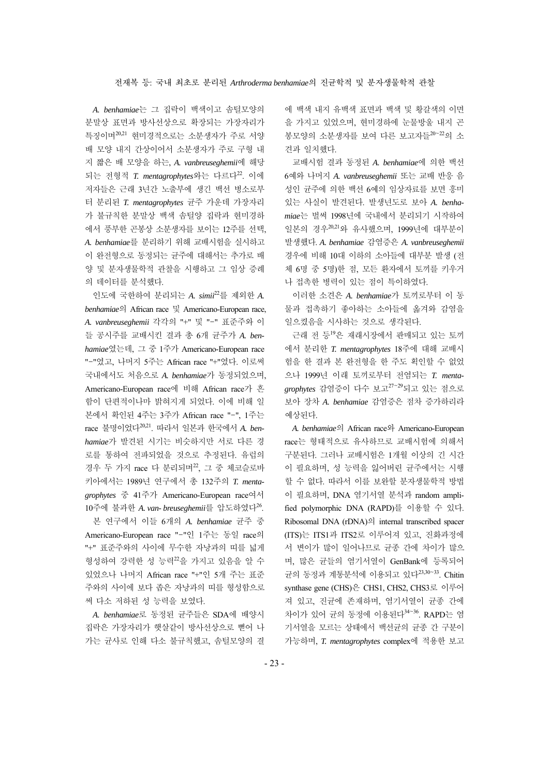*A. benhamiae*는 그 집락이 백색이고 솜털모양의 분말상 표면과 방사선상으로 확장되는 가장자리가 특징이며20,21 현미경적으로는 소분생자가 주로 서양 배 모양 내지 간상이어서 소분생자가 주로 구형 내 지 짧은 배 모양을 하는, *A. vanbreuseghemii*에 해당 되는 전형적 *T. mentagrophytes*와는 다르다22. 이에 저자들은 근래 3년간 노출부에 생긴 백선 병소로부 터 분리된 *T. mentagrophytes* 균주 가운데 가장자리 가 불규칙한 분말상 백색 솜털양 집락과 현미경하 에서 풍부한 곤봉상 소분생자를 보이는 12주를 선택, *A. benhamiae*를 분리하기 위해 교배시험을 실시하고 이 완전형으로 동정되는 균주에 대해서는 추가로 배 양 및 분자생물학적 관찰을 시행하고 그 임상 증례 의 데이터를 분석했다.

인도에 국한하여 분리되는 *A. simii*<sup>22</sup>를 제외한 *A. benhamiae*의 African race 및 Americano-European race, *A. vanbreuseghemii* 각각의 "+" 및 "-" 표준주와 이 들 공시주를 교배시킨 결과 총 6개 균주가 *A. benhamiae*였는데, 그 중 1주가 Americano-European race "-"였고, 나머지 5주는 African race "+"였다. 이로써 국내에서도 처음으로 *A. benhamiae*가 동정되었으며, Americano-European race에 비해 African race가 흔 함이 단편적이나마 밝혀지게 되었다. 이에 비해 일 본에서 확인된 4주는 3주가 African race "-", 1주는 race 불명이었다20,21. 따라서 일본과 한국에서 *A. benhamiae*가 발견된 시기는 비슷하지만 서로 다른 경 로를 통하여 전파되었을 것으로 추정된다. 유럽의 경우 두 가지 race 다 분리되며<sup>22</sup>, 그 중 체코슬로바 키아에서는 1989년 연구에서 총 132주의 *T. mentagrophytes* 중 41주가 Americano-European race여서 10주에 불과한 *A. van- breuseghemii*를 압도하였다26.

본 연구에서 이들 6개의 *A. benhamiae* 균주 중 Americano-European race "-"인 1주는 동일 race의 "+" 표준주와의 사이에 무수한 자낭과의 띠를 넓게 형성하여 강력한 성 능력<sup>22</sup>을 가지고 있음을 알 수 있었으나 나머지 African race "+"인 5개 주는 표준 주와의 사이에 보다 좁은 자낭과의 띠를 형성함으로 써 다소 저하된 성 능력을 보였다.

*A. benhamiae*로 동정된 균주들은 SDA에 배양시 집락은 가장자리가 햇살같이 방사선상으로 뻗어 나 가는 균사로 인해 다소 불규칙했고, 솜털모양의 결 에 백색 내지 유백색 표면과 백색 및 황갈색의 이면 을 가지고 있었으며, 현미경하에 눈물방울 내지 곤 봉모양의 소분생자를 보여 다른 보고자들<sup>20</sup>~<sup>22</sup>의 소 견과 일치했다.

교배시험 결과 동정된 *A. benhamiae*에 의한 백선 6예와 나머지 *A. vanbreuseghemii* 또는 교배 반응 음 성인 균주에 의한 백선 6예의 임상자료를 보면 흥미 있는 사실이 발견된다. 발생년도로 보아 *A. benhamiae*는 벌써 1998년에 국내에서 분리되기 시작하여 일본의 경우20,21와 유사했으며, 1999년에 대부분이 발생했다. *A. benhamiae* 감염증은 *A. vanbreuseghemii* 경우에 비해 10대 이하의 소아들에 대부분 발생 (전 체 6명 중 5명)한 점, 모든 환자에서 토끼를 키우거 나 접촉한 병력이 있는 점이 특이하였다.

이러한 소견은 *A. benhamiae*가 토끼로부터 이 동 물과 접촉하기 좋아하는 소아들에 옮겨와 감염을 일으켰음을 시사하는 것으로 생각된다.

근래 전 등<sup>19</sup>은 재래시장에서 판매되고 있는 토끼 에서 분리한 *T. mentagrophytes* 18주에 대해 교배시 험을 한 결과 본 완전형을 한 주도 획인할 수 없었 으나 1999년 이래 토끼로부터 전염되는 *T. mentagrophytes* 감염증이 다수 보고<sup>27</sup>~<sup>29</sup>되고 있는 점으로 보아 장차 *A. benhamiae* 감염증은 점차 증가하리라 예상된다.

*A. benhamiae*의 African race와 Americano-European race는 형태적으로 유사하므로 교배시험에 의해서 구분된다. 그러나 교배시험은 1개월 이상의 긴 시간 이 필요하며, 성 능력을 잃어버린 균주에서는 시행 할 수 없다. 따라서 이를 보완할 분자생물학적 방법 이 필요하며, DNA 염기서열 분석과 random amplified polymorphic DNA (RAPD)를 이용할 수 있다. Ribosomal DNA (rDNA)의 internal transcribed spacer (ITS)는 ITS1과 ITS2로 이루어져 있고, 진화과정에 서 변이가 많이 일어나므로 균종 간에 차이가 많으 며, 많은 균들의 염기서열이 GenBank에 등록되어 균의 동정과 계통분석에 이용되고 있다<sup>23,30~33</sup>. Chitin synthase gene (CHS)은 CHS1, CHS2, CHS3로 이루어 져 있고, 진균에 존재하며, 염기서열이 균종 간에 차이가 있어 균의 동정에 이용된다<sup>34~36</sup>. RAPD는 염 기서열을 모르는 상태에서 백선균의 균종 간 구분이 가능하며, *T. mentagrophytes* complex에 적용한 보고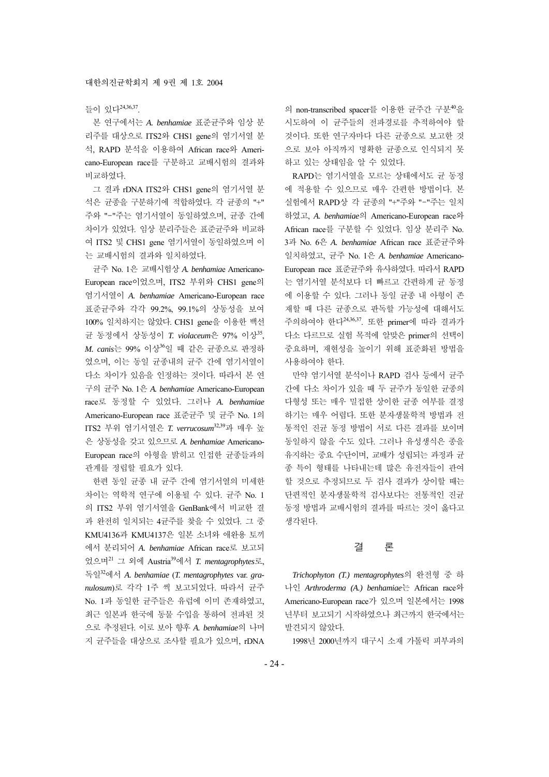## 들이 있다24,36,37.

본 연구에서는 *A. benhamiae* 표준균주와 임상 분 리주를 대상으로 ITS2와 CHS1 gene의 염기서열 분 석, RAPD 분석을 이용하여 African race와 Americano-European race를 구분하고 교배시험의 결과와 비교하였다.

그 결과 rDNA ITS2와 CHS1 gene의 염기서열 분 석은 균종을 구분하기에 적합하였다. 각 균종의 "+" 주와 "-"주는 염기서열이 동일하였으며, 균종 간에 차이가 있었다. 임상 분리주들은 표준균주와 비교하 여 ITS2 및 CHS1 gene 염기서열이 동일하였으며 이 는 교배시험의 결과와 일치하였다.

균주 No. 1은 교배시험상 *A. benhamia*e Americano-European race이었으며, ITS2 부위와 CHS1 gene의 염기서열이 *A. benhamiae* Americano-European race 표준균주와 각각 99.2%, 99.1%의 상동성을 보여 100% 일치하지는 않았다. CHS1 gene을 이용한 백선 균 동정에서 상동성이 *T. violaceum*은 97% 이상35, *M. canis*는 99% 이상<sup>36</sup>일 때 같은 균종으로 판정하 였으며, 이는 동일 균종내의 균주 간에 염기서열이 다소 차이가 있음을 인정하는 것이다. 따라서 본 연 구의 균주 No. 1은 *A. benhamiae* Americano-European race로 동정할 수 있었다. 그러나 *A. benhamiae* Americano-European race 표준균주 및 균주 No. 1의 ITS2 부위 염기서열은 *T. verrucosum*32,39과 매우 높 은 상동성을 갖고 있으므로 *A. benhamiae* Americano-European race의 아형을 밝히고 인접한 균종들과의 관계를 정립할 필요가 있다.

한편 동일 균종 내 균주 간에 염기서열의 미세한 차이는 역학적 연구에 이용될 수 있다. 균주 No. 1 의 ITS2 부위 염기서열을 GenBank에서 비교한 결 과 완전히 일치되는 4균주를 찾을 수 있었다. 그 중 KMU4136과 KMU4137은 일본 소녀와 애완용 토끼 에서 분리되어 *A. benhamiae* African race로 보고되 었으며<sup>21</sup> 그 외에 Austria39에서 *T. mentagrophytes*로, 독일<sup>32</sup>에서 *A. benhamiae* (*T. mentagrophytes* var. *granulosum*)로 각각 1주 씩 보고되었다. 따라서 균주 No. 1과 동일한 균주들은 유럽에 이미 존재하였고, 최근 일본과 한국에 동물 수입을 통하여 전파된 것 으로 추정된다. 이로 보아 향후 *A. benhamiae*의 나머 지 균주들을 대상으로 조사할 필요가 있으며, rDNA 의 non-transcribed spacer를 이용한 균주간 구분<sup>40</sup>을 시도하여 이 균주들의 전파경로를 추적하여야 할 것이다. 또한 연구자마다 다른 균종으로 보고한 것 으로 보아 아직까지 명확한 균종으로 인식되지 못 하고 있는 상태임을 알 수 있었다.

RAPD는 염기서열을 모르는 상태에서도 균 동정 에 적용할 수 있으므로 매우 간편한 방법이다. 본 실험에서 RAPD상 각 균종의 "+"주와 "-"주는 일치 하였고, *A. benhamiae*의 Americano-European race와 African race를 구분할 수 있었다. 임상 분리주 No. 3과 No. 6은 *A. benhamiae* African race 표준균주와 일치하였고, 균주 No. 1은 *A. benhamiae* Americano-European race 표준균주와 유사하였다. 따라서 RAPD 는 염기서열 분석보다 더 빠르고 간편하게 균 동정 에 이용할 수 있다. 그러나 동일 균종 내 아형이 존 재할 때 다른 균종으로 판독할 가능성에 대해서도 주의하여야 한다24,36,37. 또한 primer에 따라 결과가 다소 다르므로 실험 목적에 알맞은 primer의 선택이 중요하며, 재현성을 높이기 위해 표준화된 방법을 사용하여야 한다.

만약 염기서열 분석이나 RAPD 검사 등에서 균주 간에 다소 차이가 있을 때 두 균주가 동일한 균종의 다형성 또는 매우 밀접한 상이한 균종 여부를 결정 하기는 매우 어렵다. 또한 분자생물학적 방법과 전 통적인 진균 동정 방법이 서로 다른 결과를 보이며 동일하지 않을 수도 있다. 그러나 유성생식은 종을 유지하는 중요 수단이며, 교배가 성립되는 과정과 균 종 특이 형태를 나타내는데 많은 유전자들이 관여 할 것으로 추정되므로 두 검사 결과가 상이할 때는 단편적인 분자생물학적 검사보다는 전통적인 진균 동정 방법과 교배시험의 결과를 따르는 것이 옳다고 생각된다.

## 결 론

*Trichophyton (T.) mentagrophytes*의 완전형 중 하 나인 *Arthroderma (A.) benhamiae*는 African race와 Americano-European race가 있으며 일본에서는 1998 년부터 보고되기 시작하였으나 최근까지 한국에서는 발견되지 않았다.

1998년 2000년까지 대구시 소재 가톨릭 피부과의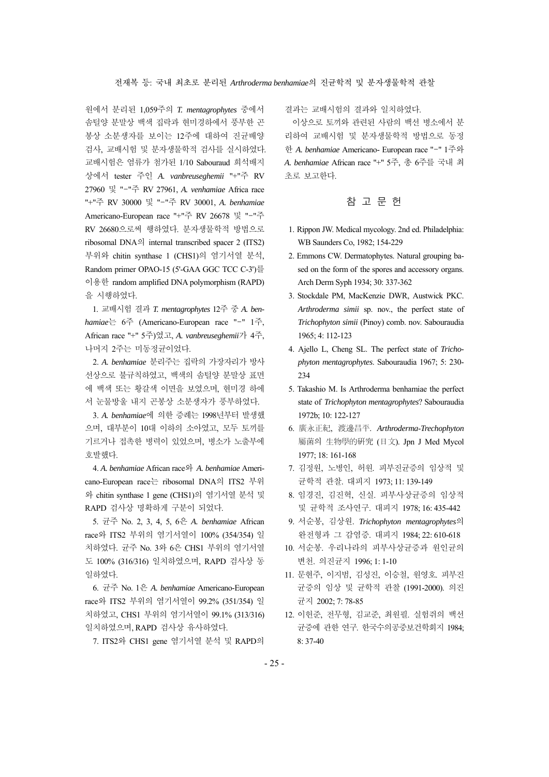원에서 분리된 1,059주의 *T. mentagrophytes* 중에서 솜털양 분말상 백색 집락과 현미경하에서 풍부한 곤 봉상 소분생자를 보이는 12주에 대하여 진균배양 검사, 교배시험 및 분자생물학적 검사를 실시하였다. 교배시험은 염류가 첨가된 1/10 Sabouraud 희석배지 상에서 tester 주인 *A. vanbreuseghemii* "+"주 RV 27960 및 "-"주 RV 27961, *A. venhamiae* Africa race "+"주 RV 30000 및 "-"주 RV 30001, *A. benhamiae* Americano-European race "+"주 RV 26678 및 "-"주 RV 26680으로써 행하였다. 분자생물학적 방법으로 ribosomal DNA의 internal transcribed spacer 2 (ITS2) 부위와 chitin synthase 1 (CHS1)의 염기서열 분석, Random primer OPAO-15 (5'-GAA GGC TCC C-3')를 이용한 random amplified DNA polymorphism (RAPD) 을 시행하였다.

1. 교배시험 결과 *T. mentagrophytes* 12주 중 *A. benhamiae*는 6주 (Americano-European race "-" 1주, African race "+" 5주)였고, *A. vanbreuseghemii*가 4주, 나머지 2주는 미동정균이었다.

2. *A. benhamiae* 분리주는 집락의 가장자리가 방사 선상으로 불규칙하였고, 백색의 솜털양 분말상 표면 에 백색 또는 황갈색 이면을 보였으며, 현미경 하에 서 눈물방울 내지 곤봉상 소분생자가 풍부하였다.

3. *A. benhamiae*에 의한 증례는 1998년부터 발생했 으며, 대부분이 10대 이하의 소아였고, 모두 토끼를 기르거나 접촉한 병력이 있었으며, 병소가 노출부에 호발했다.

4. *A. benhamiae* African race와 *A. benhamiae* Americano-European race는 ribosomal DNA의 ITS2 부위 와 chitin synthase 1 gene (CHS1)의 염기서열 분석 및 RAPD 검사상 명확하게 구분이 되었다.

5. 균주 No. 2, 3, 4, 5, 6은 *A. benhamiae* African race와 ITS2 부위의 염기서열이 100% (354/354) 일 치하였다. 균주 No. 3와 6은 CHS1 부위의 염기서열 도 100% (316/316) 일치하였으며, RAPD 검사상 동 일하였다.

6. 균주 No. 1은 *A. benhamiae* Americano-European race와 ITS2 부위의 염기서열이 99.2% (351/354) 일 치하였고, CHS1 부위의 염기서열이 99.1% (313/316) 일치하였으며, RAPD 검사상 유사하였다.

7. ITS2와 CHS1 gene 염기서열 분석 및 RAPD의

결과는 교배시험의 결과와 일치하였다.

이상으로 토끼와 관련된 사람의 백선 병소에서 분 리하여 교배시험 및 분자생물학적 방법으로 동정 한 *A. benhamiae* Americano- European race "-" 1주와 *A. benhamiae* African race "+" 5주, 총 6주를 국내 최 초로 보고한다.

참 고 문 헌

- 1. Rippon JW. Medical mycology. 2nd ed. Philadelphia: WB Saunders Co, 1982; 154-229
- 2. Emmons CW. Dermatophytes. Natural grouping based on the form of the spores and accessory organs. Arch Derm Syph 1934; 30: 337-362
- 3. Stockdale PM, MacKenzie DWR, Austwick PKC. *Arthroderma simii* sp. nov., the perfect state of *Trichophyton simii* (Pinoy) comb. nov. Sabouraudia 1965; 4: 112-123
- 4. Ajello L, Cheng SL. The perfect state of *Trichophyton mentagrophytes*. Sabouraudia 1967; 5: 230- 234
- 5. Takashio M. Is Arthroderma benhamiae the perfect state of *Trichophyton mentagrophytes*? Sabouraudia 1972b; 10: 122-127
- 6. 廣永正紀, 渡邊昌平. *Arthroderma*-*Trechophyton* 屬菌의 生物學的硏究 (日文). Jpn J Med Mycol 1977; 18: 161-168
- 7. 김정원, 노병인, 허원. 피부진균증의 임상적 및 균학적 관찰. 대피지 1973; 11: 139-149
- 8. 임경진, 김진혁, 신실. 피부사상균증의 임상적 및 균학적 조사연구. 대피지 1978; 16: 435-442
- 9. 서순봉, 김상원. *Trichophyton mentagrophytes*의 완전형과 그 감염증. 대피지 1984; 22: 610-618
- 10. 서순봉. 우리나라의 피부사상균증과 원인균의 변천. 의진균지 1996; 1: 1-10
- 11. 문현주, 이지범, 김성진, 이승철, 원영호. 피부진 균증의 임상 및 균학적 관찰 (1991-2000). 의진 균지 2002; 7: 78-85
- 12. 이헌준, 전무형, 김교준, 최원필. 실험쥐의 백선 균증에 관한 연구. 한국수의공중보건학회지 1984; 8: 37-40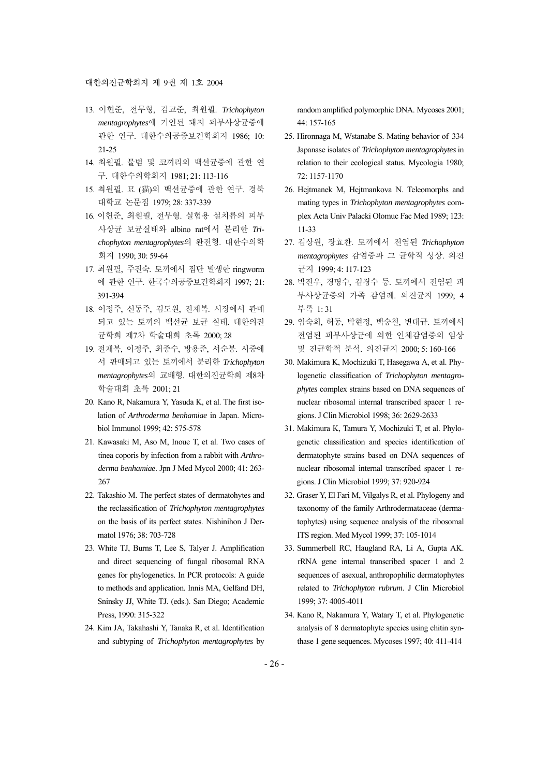#### 대한의진균학회지 제 9권 제 1호 2004

- 13. 이헌준, 전무형, 김교준, 최원필. *Trichophyton mentagrophytes*에 기인된 돼지 피부사상균증에 관한 연구. 대한수의공중보건학회지 1986; 10: 21-25
- 14. 최원필. 물범 및 코끼리의 백선균증에 관한 연 구. 대한수의학회지 1981; 21: 113-116
- 15. 최원필. 묘 (猫)의 백선균증에 관한 연구. 경북 대학교 논문집 1979; 28: 337-339
- 16. 이헌준, 최원필, 전무형. 실험용 설치류의 피부 사상균 보균실태와 albino rat에서 분리한 *Trichophyton mentagrophytes*의 완전형. 대한수의학 회지 1990; 30: 59-64
- 17. 최원필, 주진숙. 토끼에서 집단 발생한 ringworm 에 관한 연구. 한국수의공중보건학회지 1997; 21: 391-394
- 18. 이정주, 신동주, 김도원, 전재복. 시장에서 관매 되고 있는 토끼의 백선균 보균 실태. 대한의진 균학회 제7차 학술대회 초록 2000; 28
- 19. 전재복, 이정주, 최종수, 방용준, 서순봉. 시중에 서 판매되고 있는 토끼에서 분리한 *Trichophyton mentagrophytes*의 교배형. 대한의진균학회 제8차 학술대회 초록 2001; 21
- 20. Kano R, Nakamura Y, Yasuda K, et al. The first isolation of *Arthroderma benhamiae* in Japan. Microbiol Immunol 1999; 42: 575-578
- 21. Kawasaki M, Aso M, Inoue T, et al. Two cases of tinea coporis by infection from a rabbit with *Arthroderma benhamiae*. Jpn J Med Mycol 2000; 41: 263- 267
- 22. Takashio M. The perfect states of dermatohytes and the reclassification of *Trichophyton mentagrophytes* on the basis of its perfect states. Nishinihon J Dermatol 1976; 38: 703-728
- 23. White TJ, Burns T, Lee S, Talyer J. Amplification and direct sequencing of fungal ribosomal RNA genes for phylogenetics. In PCR protocols: A guide to methods and application. Innis MA, Gelfand DH, Sninsky JJ, White TJ. (eds.). San Diego; Academic Press, 1990: 315-322
- 24. Kim JA, Takahashi Y, Tanaka R, et al. Identification and subtyping of *Trichophyton mentagrophytes* by

random amplified polymorphic DNA. Mycoses 2001; 44: 157-165

- 25. Hironnaga M, Wstanabe S. Mating behavior of 334 Japanase isolates of *Trichophyton mentagrophytes* in relation to their ecological status. Mycologia 1980; 72: 1157-1170
- 26. Hejtmanek M, Hejtmankova N. Teleomorphs and mating types in *Trichophyton mentagrophytes* complex Acta Univ Palacki Olomuc Fac Med 1989; 123: 11-33
- 27. 김상원, 장효찬. 토끼에서 전염된 *Trichophyton mentagrophytes* 감염증과 그 균학적 성상. 의진 균지 1999; 4: 117-123
- 28. 박진우, 경명수, 김경수 등. 토끼에서 전염된 피 부사상균증의 가족 감염례. 의진균지 1999; 4 부록 1: 31
- 29. 임숙희, 허동, 박현정, 백승철, 변대규. 토끼에서 전염된 피부사상균에 의한 인체감염증의 임상 및 진균학적 분석. 의진균지 2000; 5: 160-166
- 30. Makimura K, Mochizuki T, Hasegawa A, et al. Phylogenetic classification of *Trichophyton mentagrophytes* complex strains based on DNA sequences of nuclear ribosomal internal transcribed spacer 1 regions. J Clin Microbiol 1998; 36: 2629-2633
- 31. Makimura K, Tamura Y, Mochizuki T, et al. Phylogenetic classification and species identification of dermatophyte strains based on DNA sequences of nuclear ribosomal internal transcribed spacer 1 regions. J Clin Microbiol 1999; 37: 920-924
- 32. Graser Y, El Fari M, Vilgalys R, et al. Phylogeny and taxonomy of the family Arthrodermataceae (dermatophytes) using sequence analysis of the ribosomal ITS region. Med Mycol 1999; 37: 105-1014
- 33. Summerbell RC, Haugland RA, Li A, Gupta AK. rRNA gene internal transcribed spacer 1 and 2 sequences of asexual, anthropophilic dermatophytes related to *Trichophyton rubrum*. J Clin Microbiol 1999; 37: 4005-4011
- 34. Kano R, Nakamura Y, Watary T, et al. Phylogenetic analysis of 8 dermatophyte species using chitin synthase 1 gene sequences. Mycoses 1997; 40: 411-414